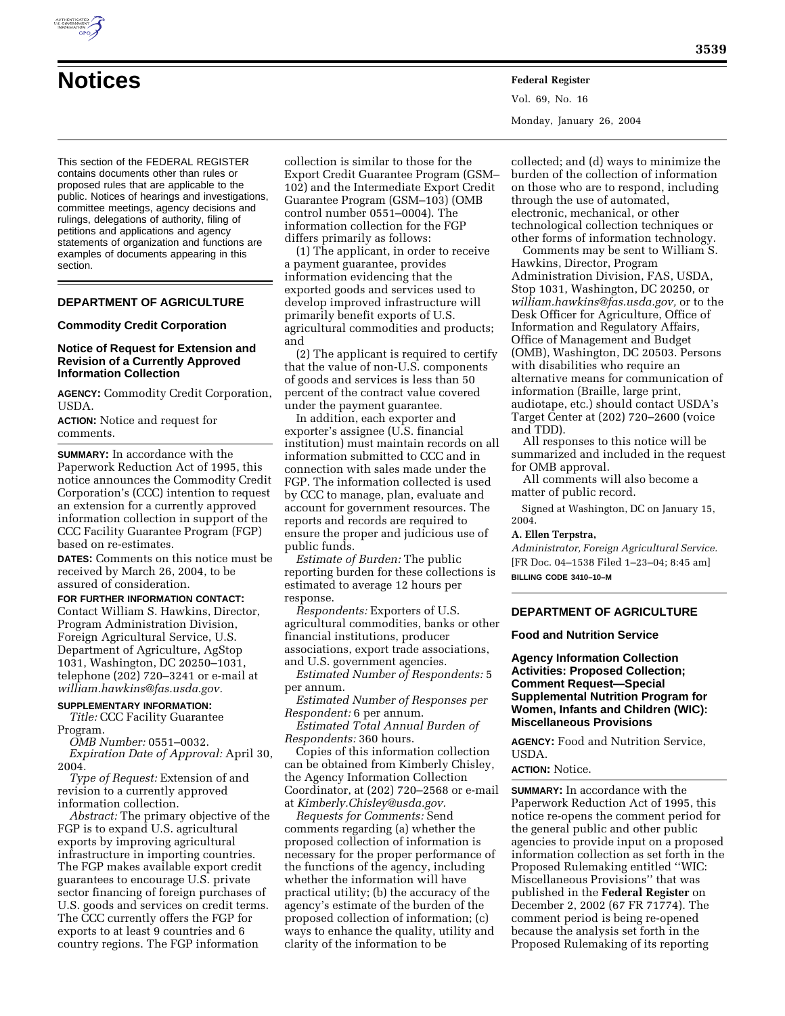

# **Notices Federal Register**

Vol. 69, No. 16 Monday, January 26, 2004

This section of the FEDERAL REGISTER contains documents other than rules or proposed rules that are applicable to the public. Notices of hearings and investigations, committee meetings, agency decisions and rulings, delegations of authority, filing of petitions and applications and agency statements of organization and functions are examples of documents appearing in this section.

# **DEPARTMENT OF AGRICULTURE**

## **Commodity Credit Corporation**

## **Notice of Request for Extension and Revision of a Currently Approved Information Collection**

**AGENCY:** Commodity Credit Corporation, USDA.

**ACTION:** Notice and request for comments.

**SUMMARY:** In accordance with the Paperwork Reduction Act of 1995, this notice announces the Commodity Credit Corporation's (CCC) intention to request an extension for a currently approved information collection in support of the CCC Facility Guarantee Program (FGP) based on re-estimates.

**DATES:** Comments on this notice must be received by March 26, 2004, to be assured of consideration.

#### **FOR FURTHER INFORMATION CONTACT:**

Contact William S. Hawkins, Director, Program Administration Division, Foreign Agricultural Service, U.S. Department of Agriculture, AgStop 1031, Washington, DC 20250–1031, telephone (202) 720–3241 or e-mail at *william.hawkins@fas.usda.gov.*

# **SUPPLEMENTARY INFORMATION:**

*Title:* CCC Facility Guarantee Program.

*OMB Number:* 0551–0032. *Expiration Date of Approval:* April 30, 2004.

*Type of Request:* Extension of and revision to a currently approved information collection.

*Abstract:* The primary objective of the FGP is to expand U.S. agricultural exports by improving agricultural infrastructure in importing countries. The FGP makes available export credit guarantees to encourage U.S. private sector financing of foreign purchases of U.S. goods and services on credit terms. The CCC currently offers the FGP for exports to at least 9 countries and 6 country regions. The FGP information

collection is similar to those for the Export Credit Guarantee Program (GSM– 102) and the Intermediate Export Credit Guarantee Program (GSM–103) (OMB control number 0551–0004). The information collection for the FGP differs primarily as follows:

(1) The applicant, in order to receive a payment guarantee, provides information evidencing that the exported goods and services used to develop improved infrastructure will primarily benefit exports of U.S. agricultural commodities and products; and

(2) The applicant is required to certify that the value of non-U.S. components of goods and services is less than 50 percent of the contract value covered under the payment guarantee.

In addition, each exporter and exporter's assignee (U.S. financial institution) must maintain records on all information submitted to CCC and in connection with sales made under the FGP. The information collected is used by CCC to manage, plan, evaluate and account for government resources. The reports and records are required to ensure the proper and judicious use of public funds.

*Estimate of Burden:* The public reporting burden for these collections is estimated to average 12 hours per response.

*Respondents:* Exporters of U.S. agricultural commodities, banks or other financial institutions, producer associations, export trade associations, and U.S. government agencies.

*Estimated Number of Respondents:* 5 per annum.

*Estimated Number of Responses per Respondent:* 6 per annum.

*Estimated Total Annual Burden of Respondents:* 360 hours.

Copies of this information collection can be obtained from Kimberly Chisley, the Agency Information Collection Coordinator, at (202) 720–2568 or e-mail at *Kimberly.Chisley@usda.gov.*

*Requests for Comments:* Send comments regarding (a) whether the proposed collection of information is necessary for the proper performance of the functions of the agency, including whether the information will have practical utility; (b) the accuracy of the agency's estimate of the burden of the proposed collection of information; (c) ways to enhance the quality, utility and clarity of the information to be

collected; and (d) ways to minimize the burden of the collection of information on those who are to respond, including through the use of automated, electronic, mechanical, or other technological collection techniques or other forms of information technology.

Comments may be sent to William S. Hawkins, Director, Program Administration Division, FAS, USDA, Stop 1031, Washington, DC 20250, or *william.hawkins@fas.usda.gov,* or to the Desk Officer for Agriculture, Office of Information and Regulatory Affairs, Office of Management and Budget (OMB), Washington, DC 20503. Persons with disabilities who require an alternative means for communication of information (Braille, large print, audiotape, etc.) should contact USDA's Target Center at (202) 720–2600 (voice and TDD).

All responses to this notice will be summarized and included in the request for OMB approval.

All comments will also become a matter of public record.

Signed at Washington, DC on January 15, 2004.

# **A. Ellen Terpstra,**

*Administrator, Foreign Agricultural Service.* [FR Doc. 04–1538 Filed 1–23–04; 8:45 am] **BILLING CODE 3410–10–M**

#### **DEPARTMENT OF AGRICULTURE**

#### **Food and Nutrition Service**

**Agency Information Collection Activities: Proposed Collection; Comment Request—Special Supplemental Nutrition Program for Women, Infants and Children (WIC): Miscellaneous Provisions**

**AGENCY:** Food and Nutrition Service, USDA.

#### **ACTION:** Notice.

**SUMMARY:** In accordance with the Paperwork Reduction Act of 1995, this notice re-opens the comment period for the general public and other public agencies to provide input on a proposed information collection as set forth in the Proposed Rulemaking entitled ''WIC: Miscellaneous Provisions'' that was published in the **Federal Register** on December 2, 2002 (67 FR 71774). The comment period is being re-opened because the analysis set forth in the Proposed Rulemaking of its reporting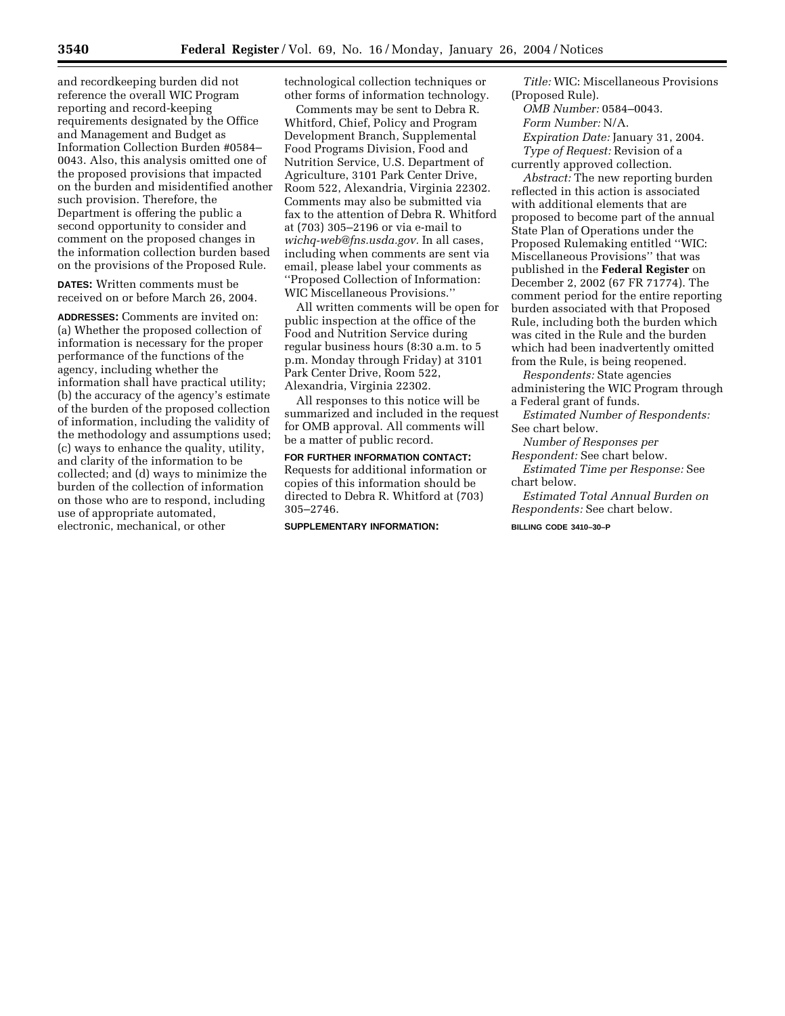and recordkeeping burden did not reference the overall WIC Program reporting and record-keeping requirements designated by the Office and Management and Budget as Information Collection Burden #0584– 0043. Also, this analysis omitted one of the proposed provisions that impacted on the burden and misidentified another such provision. Therefore, the Department is offering the public a second opportunity to consider and comment on the proposed changes in the information collection burden based on the provisions of the Proposed Rule.

**DATES:** Written comments must be received on or before March 26, 2004.

**ADDRESSES:** Comments are invited on: (a) Whether the proposed collection of information is necessary for the proper performance of the functions of the agency, including whether the information shall have practical utility; (b) the accuracy of the agency's estimate of the burden of the proposed collection of information, including the validity of the methodology and assumptions used; (c) ways to enhance the quality, utility, and clarity of the information to be collected; and (d) ways to minimize the burden of the collection of information on those who are to respond, including use of appropriate automated, electronic, mechanical, or other

technological collection techniques or other forms of information technology.

Comments may be sent to Debra R. Whitford, Chief, Policy and Program Development Branch, Supplemental Food Programs Division, Food and Nutrition Service, U.S. Department of Agriculture, 3101 Park Center Drive, Room 522, Alexandria, Virginia 22302. Comments may also be submitted via fax to the attention of Debra R. Whitford at (703) 305–2196 or via e-mail to *wichq-web@fns.usda.gov.* In all cases, including when comments are sent via email, please label your comments as ''Proposed Collection of Information: WIC Miscellaneous Provisions.''

All written comments will be open for public inspection at the office of the Food and Nutrition Service during regular business hours (8:30 a.m. to 5 p.m. Monday through Friday) at 3101 Park Center Drive, Room 522, Alexandria, Virginia 22302.

All responses to this notice will be summarized and included in the request for OMB approval. All comments will be a matter of public record.

# **FOR FURTHER INFORMATION CONTACT:**

Requests for additional information or copies of this information should be directed to Debra R. Whitford at (703) 305–2746.

#### **SUPPLEMENTARY INFORMATION:**

*Title:* WIC: Miscellaneous Provisions (Proposed Rule).

*OMB Number:* 0584–0043.

*Form Number:* N/A.

*Expiration Date:* January 31, 2004. *Type of Request:* Revision of a

currently approved collection.

*Abstract:* The new reporting burden reflected in this action is associated with additional elements that are proposed to become part of the annual State Plan of Operations under the Proposed Rulemaking entitled ''WIC: Miscellaneous Provisions'' that was published in the **Federal Register** on December 2, 2002 (67 FR 71774). The comment period for the entire reporting burden associated with that Proposed Rule, including both the burden which was cited in the Rule and the burden which had been inadvertently omitted from the Rule, is being reopened.

*Respondents:* State agencies administering the WIC Program through a Federal grant of funds.

*Estimated Number of Respondents:* See chart below.

*Number of Responses per Respondent:* See chart below.

*Estimated Time per Response:* See chart below.

*Estimated Total Annual Burden on Respondents:* See chart below.

# **BILLING CODE 3410–30–P**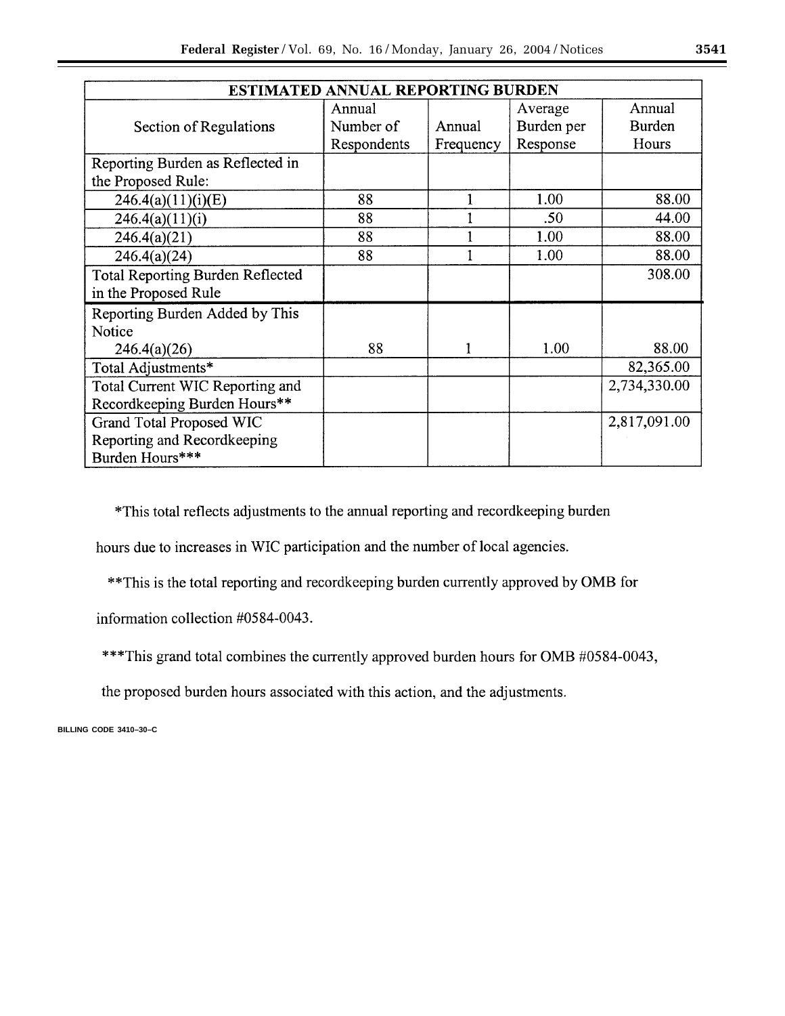| <b>ESTIMATED ANNUAL REPORTING BURDEN</b> |             |           |                  |              |
|------------------------------------------|-------------|-----------|------------------|--------------|
|                                          | Annual      |           | Average          | Annual       |
| Section of Regulations                   | Number of   | Annual    | Burden per       | Burden       |
|                                          | Respondents | Frequency | Response         | Hours        |
| Reporting Burden as Reflected in         |             |           |                  |              |
| the Proposed Rule:                       |             |           |                  |              |
| 246.4(a)(11)(i)(E)                       | 88          |           | 1.00             | 88.00        |
| 246.4(a)(11)(i)                          | 88          |           | .50 <sub>0</sub> | 44.00        |
| 246.4(a)(21)                             | 88          |           | 1.00             | 88.00        |
| 246.4(a)(24)                             | 88          |           | 1.00             | 88.00        |
| <b>Total Reporting Burden Reflected</b>  |             |           |                  | 308.00       |
| in the Proposed Rule                     |             |           |                  |              |
| Reporting Burden Added by This           |             |           |                  |              |
| Notice                                   |             |           |                  |              |
| 246.4(a)(26)                             | 88          | 1         | 1.00             | 88.00        |
| Total Adjustments*                       |             |           |                  | 82,365.00    |
| Total Current WIC Reporting and          |             |           |                  | 2,734,330.00 |
| Recordkeeping Burden Hours**             |             |           |                  |              |
| Grand Total Proposed WIC                 |             |           |                  | 2,817,091.00 |
| Reporting and Recordkeeping              |             |           |                  |              |
| Burden Hours***                          |             |           |                  |              |

\*This total reflects adjustments to the annual reporting and recordkeeping burden

hours due to increases in WIC participation and the number of local agencies.

\*\* This is the total reporting and recordkeeping burden currently approved by OMB for

information collection #0584-0043.

\*\*\* This grand total combines the currently approved burden hours for OMB #0584-0043,

the proposed burden hours associated with this action, and the adjustments.

**BILLING CODE 3410–30–C**